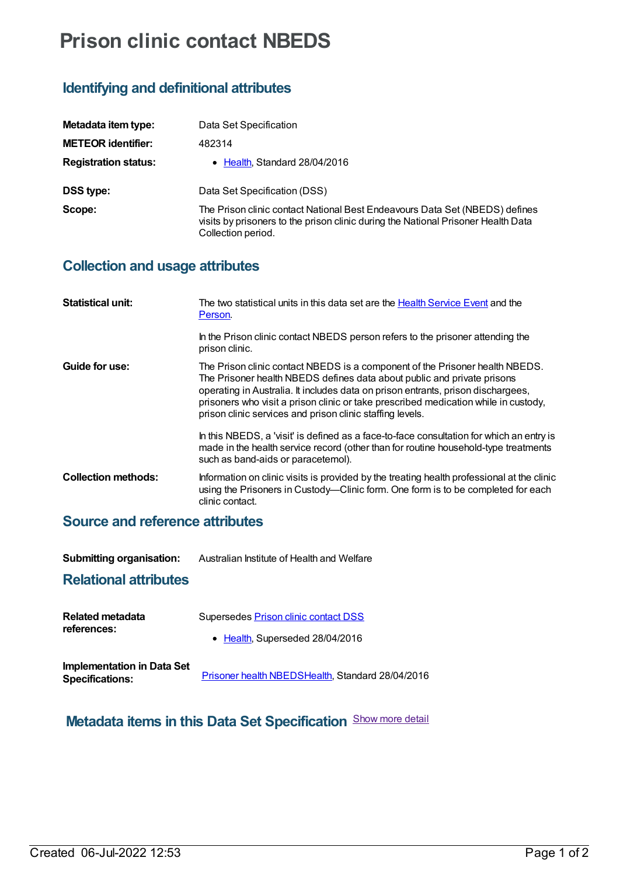# **Prison clinic contact NBEDS**

## **Identifying and definitional attributes**

| Metadata item type:         | Data Set Specification                                                                                                                                                                 |
|-----------------------------|----------------------------------------------------------------------------------------------------------------------------------------------------------------------------------------|
| <b>METEOR identifier:</b>   | 482314                                                                                                                                                                                 |
| <b>Registration status:</b> | • Health, Standard 28/04/2016                                                                                                                                                          |
| <b>DSS type:</b>            | Data Set Specification (DSS)                                                                                                                                                           |
| Scope:                      | The Prison clinic contact National Best Endeavours Data Set (NBEDS) defines<br>visits by prisoners to the prison clinic during the National Prisoner Health Data<br>Collection period. |

### **Collection and usage attributes**

| <b>Statistical unit:</b>   | The two statistical units in this data set are the <b>Health Service Event</b> and the<br>Person.                                                                                                                                                                                                                                                                                               |
|----------------------------|-------------------------------------------------------------------------------------------------------------------------------------------------------------------------------------------------------------------------------------------------------------------------------------------------------------------------------------------------------------------------------------------------|
|                            | In the Prison clinic contact NBEDS person refers to the prisoner attending the<br>prison clinic.                                                                                                                                                                                                                                                                                                |
| Guide for use:             | The Prison clinic contact NBEDS is a component of the Prisoner health NBEDS.<br>The Prisoner health NBEDS defines data about public and private prisons<br>operating in Australia. It includes data on prison entrants, prison dischargees,<br>prisoners who visit a prison clinic or take prescribed medication while in custody,<br>prison clinic services and prison clinic staffing levels. |
|                            | In this NBEDS, a 'visit' is defined as a face-to-face consultation for which an entry is<br>made in the health service record (other than for routine household-type treatments<br>such as band-aids or paracetemol).                                                                                                                                                                           |
| <b>Collection methods:</b> | Information on clinic visits is provided by the treating health professional at the clinic<br>using the Prisoners in Custody—Clinic form. One form is to be completed for each<br>clinic contact.                                                                                                                                                                                               |
|                            |                                                                                                                                                                                                                                                                                                                                                                                                 |

#### **Source and reference attributes**

| <b>Submitting organisation:</b> | Australian Institute of Health and Welfare |
|---------------------------------|--------------------------------------------|
|---------------------------------|--------------------------------------------|

#### **Relational attributes**

| <b>Related metadata</b>                              | Supersedes Prison clinic contact DSS             |
|------------------------------------------------------|--------------------------------------------------|
| references:                                          | • Health, Superseded 28/04/2016                  |
| Implementation in Data Set<br><b>Specifications:</b> | Prisoner health NBEDSHealth, Standard 28/04/2016 |

# **Metadata items in this Data Set Specification** Show more detail